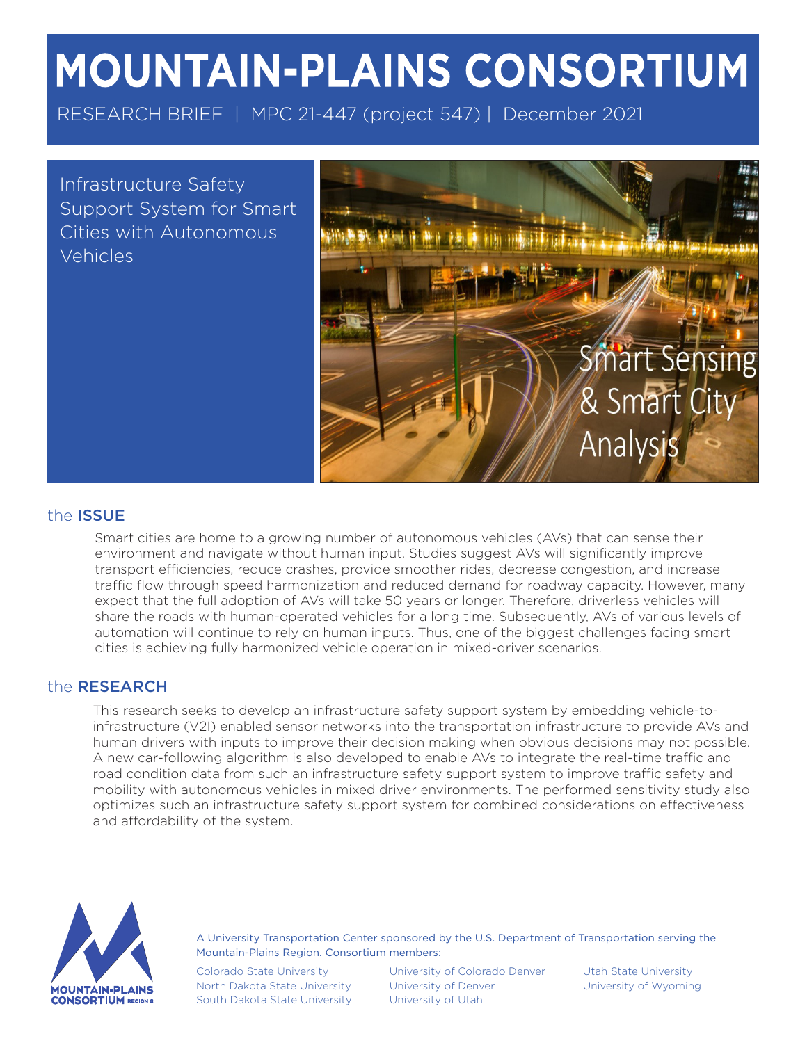# **MOUNTAIN-PLAINS CONSORTIUM**

RESEARCH BRIEF | MPC 21-447 (project 547) | December 2021

Infrastructure Safety Support System for Smart Cities with Autonomous Vehicles



# the ISSUE

Smart cities are home to a growing number of autonomous vehicles (AVs) that can sense their environment and navigate without human input. Studies suggest AVs will significantly improve transport efficiencies, reduce crashes, provide smoother rides, decrease congestion, and increase traffic flow through speed harmonization and reduced demand for roadway capacity. However, many expect that the full adoption of AVs will take 50 years or longer. Therefore, driverless vehicles will share the roads with human-operated vehicles for a long time. Subsequently, AVs of various levels of automation will continue to rely on human inputs. Thus, one of the biggest challenges facing smart cities is achieving fully harmonized vehicle operation in mixed-driver scenarios.

## the RESEARCH

This research seeks to develop an infrastructure safety support system by embedding vehicle-toinfrastructure (V2I) enabled sensor networks into the transportation infrastructure to provide AVs and human drivers with inputs to improve their decision making when obvious decisions may not possible. A new car-following algorithm is also developed to enable AVs to integrate the real-time traffic and road condition data from such an infrastructure safety support system to improve traffic safety and mobility with autonomous vehicles in mixed driver environments. The performed sensitivity study also optimizes such an infrastructure safety support system for combined considerations on effectiveness and affordability of the system.



A University Transportation Center sponsored by the U.S. Department of Transportation serving the Mountain-Plains Region. Consortium members:

Colorado State University North Dakota State University South Dakota State University

University of Colorado Denver University of Denver University of Utah

Utah State University University of Wyoming